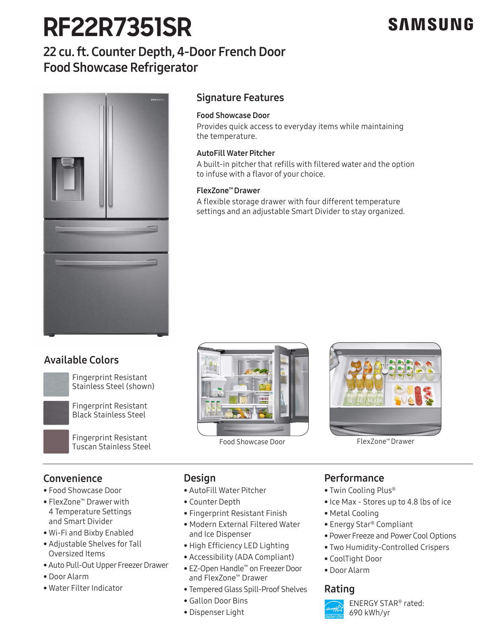# **RF22R7351SR**

# **SAMSUNG**

# 22 cu. ft. Counter Depth, 4-Door French Door Food Showcase Refrigerator



## Signature Features

### Food Showcase Door

Provides quick access to everyday items while maintaining the temperature.

### AutoFill Water Pitcher

A built-in pitcher that refills with filtered water and the option to infuse with a flavor of your choice.

### FlexZone™ Drawer

A flexible storage drawer with four different temperature settings and an adjustable Smart Divider to stay organized.

# Available Colors



Fingerprint Resistant Fingerprint Resistant<br>Stainless Steel (shown)



Food Showcas (Find New State Steel Steel Showcas Steel Showcas Steel Showcas Steel Showcas Steel Showcas Steel Showcas Steel Showcas Steel Showcas Steel Showcas Steel Showcas Steel Showcas Showcas Showcas Showcas Showcas S Fingerprint Resistant



Food Showcase Door The FlexZone<sup>™</sup> Drawer



# Convenience

- Food Showcase Door
- FlexZone™ Drawer with 4 Temperature Settings and Smart Divider
- Wi-Fi and Bixby Enabled
- Adjustable Shelves for Tall Oversized Items
- Auto Pull-Out Upper Freezer Drawer Black
- Door Alarm
- . Water Filter Indicator

### **Design**

- Stainless Platinum AutoFill Water Pitcher
	- Counter Depth
	- Fingerprint Resistant Finish
- Stainless Platinum Modern External Filtered Water and Ice Dispenser
	- High Efficiency LED Lighting
	- Accessibility (ADA Compliant)
	- EZ-Open Handle™ on Freezer Door and FlexZone™ Drawer
- Water Filter Indicator **Rating** Tempered Glass Spill-Proof Shelves **Rating** 
	- Gallon Door Bins
	- Dispenser Light

### **Performance**

- Twin Cooling Plus®
- Ice Max Stores up to 4.8 lbs of ice
- Metal Cooling
- Energy Star® Compliant
- Power Freeze and Power Cool Options
- Two Humidity-Controlled Crispers
- CoolTight Door
- Door Alarm



ENERGY STAR® rated: 690 kWh/yr